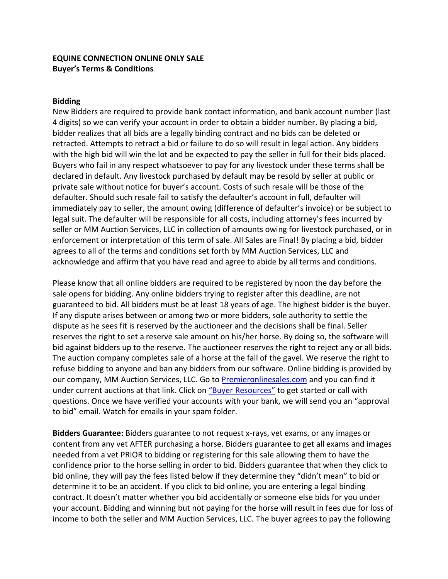## **EQUINE CONNECTION ONLINE ONLY SALE Buyer's Terms & Conditions**

#### **Bidding**

New Bidders are required to provide bank contact information, and bank account number (last 4 digits) so we can verify your account in order to obtain a bidder number. By placing a bid, bidder realizes that all bids are a legally binding contract and no bids can be deleted or retracted. Attempts to retract a bid or failure to do so will result in legal action. Any bidders with the high bid will win the lot and be expected to pay the seller in full for their bids placed. Buyers who fail in any respect whatsoever to pay for any livestock under these terms shall be declared in default. Any livestock purchased by default may be resold by seller at public or private sale without notice for buyer's account. Costs of such resale will be those of the defaulter. Should such resale fail to satisfy the defaulter's account in full, defaulter will immediately pay to seller, the amount owing (difference of defaulter's invoice) or be subject to legal suit. The defaulter will be responsible for all costs, including attorney's fees incurred by seller or MM Auction Services, LLC in collection of amounts owing for livestock purchased, or in enforcement or interpretation of this term of sale. All Sales are Final! By placing a bid, bidder agrees to all of the terms and conditions set forth by MM Auction Services, LLC and acknowledge and affirm that you have read and agree to abide by all terms and conditions.

Please know that all online bidders are required to be registered by noon the day before the sale opens for bidding. Any online bidders trying to register after this deadline, are not guaranteed to bid. All bidders must be at least 18 years of age. The highest bidder is the buyer. If any dispute arises between or among two or more bidders, sole authority to settle the dispute as he sees fit is reserved by the auctioneer and the decisions shall be final. Seller reserves the right to set a reserve sale amount on his/her horse. By doing so, the software will bid against bidders up to the reserve. The auctioneer reserves the right to reject any or all bids. The auction company completes sale of a horse at the fall of the gavel. We reserve the right to refuse bidding to anyone and ban any bidders from our software. Online bidding is provided by our company, MM Auction Services, LLC. Go to [Premieronlinesales.com](https://premieronlinesales.com/) and you can find it under current auctions at that link. Click on "[Buyer Resources](https://premieronlinesales.com/how-it-works/)" to get started or call with questions. Once we have verified your accounts with your bank, we will send you an "approval to bid" email. Watch for emails in your spam folder.

**Bidders Guarantee:** Bidders guarantee to not request x-rays, vet exams, or any images or content from any vet AFTER purchasing a horse. Bidders guarantee to get all exams and images needed from a vet PRIOR to bidding or registering for this sale allowing them to have the confidence prior to the horse selling in order to bid. Bidders guarantee that when they click to bid online, they will pay the fees listed below if they determine they "didn't mean" to bid or determine it to be an accident. If you click to bid online, you are entering a legal binding contract. It doesn't matter whether you bid accidentally or someone else bids for you under your account. Bidding and winning but not paying for the horse will result in fees due for loss of income to both the seller and MM Auction Services, LLC. The buyer agrees to pay the following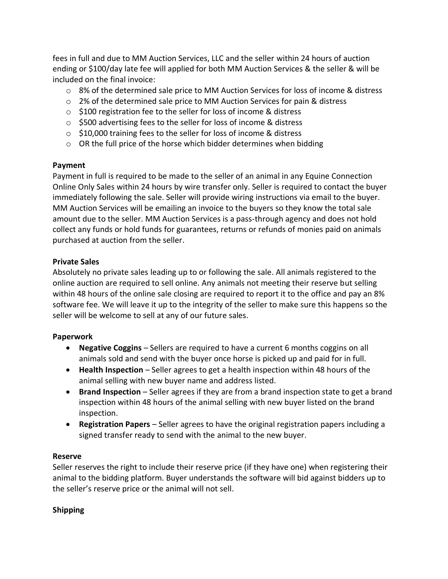fees in full and due to MM Auction Services, LLC and the seller within 24 hours of auction ending or \$100/day late fee will applied for both MM Auction Services & the seller & will be included on the final invoice:

- o 8% of the determined sale price to MM Auction Services for loss of income & distress
- $\circ$  2% of the determined sale price to MM Auction Services for pain & distress
- o \$100 registration fee to the seller for loss of income & distress
- o \$500 advertising fees to the seller for loss of income & distress
- o \$10,000 training fees to the seller for loss of income & distress
- $\circ$  OR the full price of the horse which bidder determines when bidding

## **Payment**

Payment in full is required to be made to the seller of an animal in any Equine Connection Online Only Sales within 24 hours by wire transfer only. Seller is required to contact the buyer immediately following the sale. Seller will provide wiring instructions via email to the buyer. MM Auction Services will be emailing an invoice to the buyers so they know the total sale amount due to the seller. MM Auction Services is a pass-through agency and does not hold collect any funds or hold funds for guarantees, returns or refunds of monies paid on animals purchased at auction from the seller.

## **Private Sales**

Absolutely no private sales leading up to or following the sale. All animals registered to the online auction are required to sell online. Any animals not meeting their reserve but selling within 48 hours of the online sale closing are required to report it to the office and pay an 8% software fee. We will leave it up to the integrity of the seller to make sure this happens so the seller will be welcome to sell at any of our future sales.

# **Paperwork**

- **Negative Coggins**  Sellers are required to have a current 6 months coggins on all animals sold and send with the buyer once horse is picked up and paid for in full.
- **Health Inspection**  Seller agrees to get a health inspection within 48 hours of the animal selling with new buyer name and address listed.
- **Brand Inspection**  Seller agrees if they are from a brand inspection state to get a brand inspection within 48 hours of the animal selling with new buyer listed on the brand inspection.
- **Registration Papers**  Seller agrees to have the original registration papers including a signed transfer ready to send with the animal to the new buyer.

# **Reserve**

Seller reserves the right to include their reserve price (if they have one) when registering their animal to the bidding platform. Buyer understands the software will bid against bidders up to the seller's reserve price or the animal will not sell.

# **Shipping**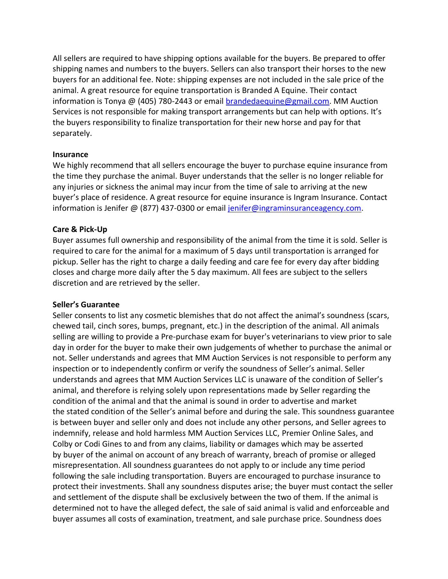All sellers are required to have shipping options available for the buyers. Be prepared to offer shipping names and numbers to the buyers. Sellers can also transport their horses to the new buyers for an additional fee. Note: shipping expenses are not included in the sale price of the animal. A great resource for equine transportation is Branded A Equine. Their contact information is Tonya  $\omega$  (405) 780-2443 or email brandedaequine  $\omega$ gmail.com. MM Auction Services is not responsible for making transport arrangements but can help with options. It's the buyers responsibility to finalize transportation for their new horse and pay for that separately.

#### **Insurance**

We highly recommend that all sellers encourage the buyer to purchase equine insurance from the time they purchase the animal. Buyer understands that the seller is no longer reliable for any injuries or sickness the animal may incur from the time of sale to arriving at the new buyer's place of residence. A great resource for equine insurance is Ingram Insurance. Contact information is Jenifer @ (877) 437-0300 or email [jenifer@ingraminsuranceagency.com.](mailto:jenifer@ingraminsuranceagency.com)

## **Care & Pick-Up**

Buyer assumes full ownership and responsibility of the animal from the time it is sold. Seller is required to care for the animal for a maximum of 5 days until transportation is arranged for pickup. Seller has the right to charge a daily feeding and care fee for every day after bidding closes and charge more daily after the 5 day maximum. All fees are subject to the sellers discretion and are retrieved by the seller.

#### **Seller's Guarantee**

Seller consents to list any cosmetic blemishes that do not affect the animal's soundness (scars, chewed tail, cinch sores, bumps, pregnant, etc.) in the description of the animal. All animals selling are willing to provide a Pre-purchase exam for buyer's veterinarians to view prior to sale day in order for the buyer to make their own judgements of whether to purchase the animal or not. Seller understands and agrees that MM Auction Services is not responsible to perform any inspection or to independently confirm or verify the soundness of Seller's animal. Seller understands and agrees that MM Auction Services LLC is unaware of the condition of Seller's animal, and therefore is relying solely upon representations made by Seller regarding the condition of the animal and that the animal is sound in order to advertise and market the stated condition of the Seller's animal before and during the sale. This soundness guarantee is between buyer and seller only and does not include any other persons, and Seller agrees to indemnify, release and hold harmless MM Auction Services LLC, Premier Online Sales, and Colby or Codi Gines to and from any claims, liability or damages which may be asserted by buyer of the animal on account of any breach of warranty, breach of promise or alleged misrepresentation. All soundness guarantees do not apply to or include any time period following the sale including transportation. Buyers are encouraged to purchase insurance to protect their investments. Shall any soundness disputes arise; the buyer must contact the seller and settlement of the dispute shall be exclusively between the two of them. If the animal is determined not to have the alleged defect, the sale of said animal is valid and enforceable and buyer assumes all costs of examination, treatment, and sale purchase price. Soundness does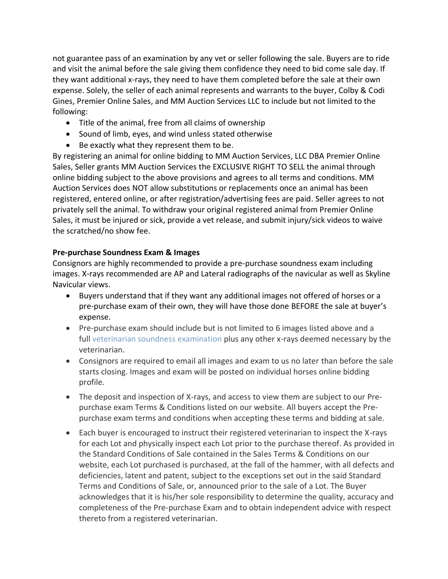not guarantee pass of an examination by any vet or seller following the sale. Buyers are to ride and visit the animal before the sale giving them confidence they need to bid come sale day. If they want additional x-rays, they need to have them completed before the sale at their own expense. Solely, the seller of each animal represents and warrants to the buyer, Colby & Codi Gines, Premier Online Sales, and MM Auction Services LLC to include but not limited to the following:

- Title of the animal, free from all claims of ownership
- Sound of limb, eyes, and wind unless stated otherwise
- Be exactly what they represent them to be.

By registering an animal for online bidding to MM Auction Services, LLC DBA Premier Online Sales, Seller grants MM Auction Services the EXCLUSIVE RIGHT TO SELL the animal through online bidding subject to the above provisions and agrees to all terms and conditions. MM Auction Services does NOT allow substitutions or replacements once an animal has been registered, entered online, or after registration/advertising fees are paid. Seller agrees to not privately sell the animal. To withdraw your original registered animal from Premier Online Sales, it must be injured or sick, provide a vet release, and submit injury/sick videos to waive the scratched/no show fee.

# **Pre-purchase Soundness Exam & Images**

Consignors are highly recommended to provide a pre-purchase soundness exam including images. X-rays recommended are AP and Lateral radiographs of the navicular as well as Skyline Navicular views.

- Buyers understand that if they want any additional images not offered of horses or a pre-purchase exam of their own, they will have those done BEFORE the sale at buyer's expense.
- Pre-purchase exam should include but is not limited to 6 images listed above and a full [veterinarian soundness examination](https://www.premierhorsesales.com/wp-content/uploads/2021/03/VetCertOfExam.pdf) plus any other x-rays deemed necessary by the veterinarian.
- Consignors are required to email all images and exam to us no later than before the sale starts closing. Images and exam will be posted on individual horses online bidding profile.
- The deposit and inspection of X-rays, and access to view them are subject to our Prepurchase exam Terms & Conditions listed on our website. All buyers accept the Prepurchase exam terms and conditions when accepting these terms and bidding at sale.
- Each buyer is encouraged to instruct their registered veterinarian to inspect the X-rays for each Lot and physically inspect each Lot prior to the purchase thereof. As provided in the Standard Conditions of Sale contained in the Sales Terms & Conditions on our website, each Lot purchased is purchased, at the fall of the hammer, with all defects and deficiencies, latent and patent, subject to the exceptions set out in the said Standard Terms and Conditions of Sale, or, announced prior to the sale of a Lot. The Buyer acknowledges that it is his/her sole responsibility to determine the quality, accuracy and completeness of the Pre-purchase Exam and to obtain independent advice with respect thereto from a registered veterinarian.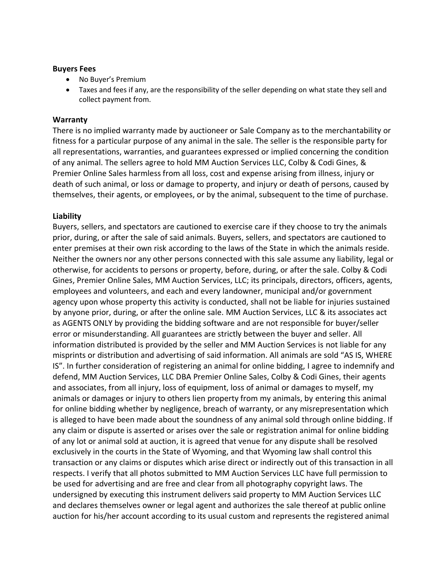#### **Buyers Fees**

- No Buyer's Premium
- Taxes and fees if any, are the responsibility of the seller depending on what state they sell and collect payment from.

#### **Warranty**

There is no implied warranty made by auctioneer or Sale Company as to the merchantability or fitness for a particular purpose of any animal in the sale. The seller is the responsible party for all representations, warranties, and guarantees expressed or implied concerning the condition of any animal. The sellers agree to hold MM Auction Services LLC, Colby & Codi Gines, & Premier Online Sales harmless from all loss, cost and expense arising from illness, injury or death of such animal, or loss or damage to property, and injury or death of persons, caused by themselves, their agents, or employees, or by the animal, subsequent to the time of purchase.

#### **Liability**

Buyers, sellers, and spectators are cautioned to exercise care if they choose to try the animals prior, during, or after the sale of said animals. Buyers, sellers, and spectators are cautioned to enter premises at their own risk according to the laws of the State in which the animals reside. Neither the owners nor any other persons connected with this sale assume any liability, legal or otherwise, for accidents to persons or property, before, during, or after the sale. Colby & Codi Gines, Premier Online Sales, MM Auction Services, LLC; its principals, directors, officers, agents, employees and volunteers, and each and every landowner, municipal and/or government agency upon whose property this activity is conducted, shall not be liable for injuries sustained by anyone prior, during, or after the online sale. MM Auction Services, LLC & its associates act as AGENTS ONLY by providing the bidding software and are not responsible for buyer/seller error or misunderstanding. All guarantees are strictly between the buyer and seller. All information distributed is provided by the seller and MM Auction Services is not liable for any misprints or distribution and advertising of said information. All animals are sold "AS IS, WHERE IS". In further consideration of registering an animal for online bidding, I agree to indemnify and defend, MM Auction Services, LLC DBA Premier Online Sales, Colby & Codi Gines, their agents and associates, from all injury, loss of equipment, loss of animal or damages to myself, my animals or damages or injury to others lien property from my animals, by entering this animal for online bidding whether by negligence, breach of warranty, or any misrepresentation which is alleged to have been made about the soundness of any animal sold through online bidding. If any claim or dispute is asserted or arises over the sale or registration animal for online bidding of any lot or animal sold at auction, it is agreed that venue for any dispute shall be resolved exclusively in the courts in the State of Wyoming, and that Wyoming law shall control this transaction or any claims or disputes which arise direct or indirectly out of this transaction in all respects. I verify that all photos submitted to MM Auction Services LLC have full permission to be used for advertising and are free and clear from all photography copyright laws. The undersigned by executing this instrument delivers said property to MM Auction Services LLC and declares themselves owner or legal agent and authorizes the sale thereof at public online auction for his/her account according to its usual custom and represents the registered animal